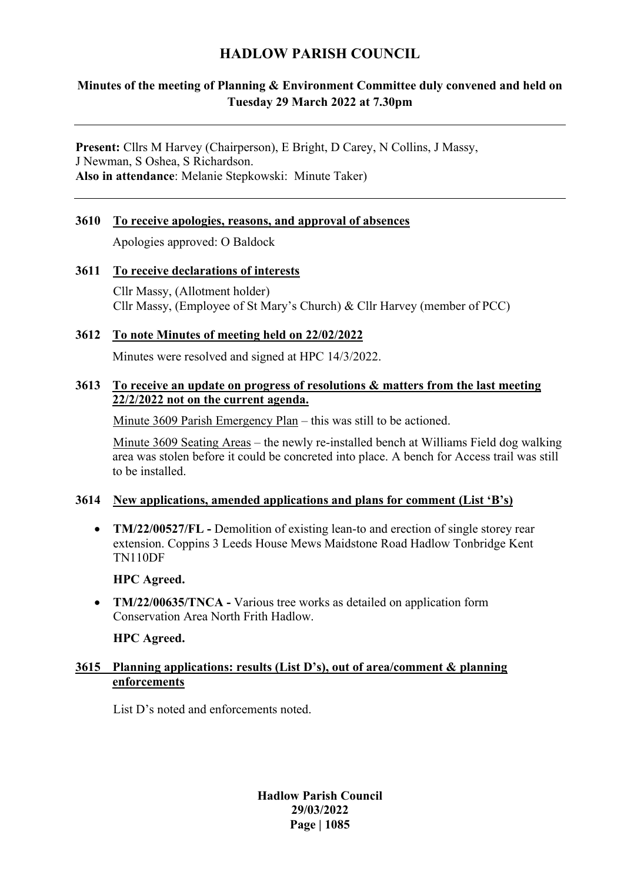# **HADLOW PARISH COUNCIL**

## **Minutes of the meeting of Planning & Environment Committee duly convened and held on Tuesday 29 March 2022 at 7.30pm**

**Present:** Cllrs M Harvey (Chairperson), E Bright, D Carey, N Collins, J Massy, J Newman, S Oshea, S Richardson. **Also in attendance**: Melanie Stepkowski: Minute Taker)

# **3610 To receive apologies, reasons, and approval of absences**

Apologies approved: O Baldock

## **3611 To receive declarations of interests**

Cllr Massy, (Allotment holder) Cllr Massy, (Employee of St Mary's Church) & Cllr Harvey (member of PCC)

## **3612 To note Minutes of meeting held on 22/02/2022**

Minutes were resolved and signed at HPC 14/3/2022.

### **3613 To receive an update on progress of resolutions & matters from the last meeting 22/2/2022 not on the current agenda.**

Minute 3609 Parish Emergency Plan – this was still to be actioned.

Minute 3609 Seating Areas – the newly re-installed bench at Williams Field dog walking area was stolen before it could be concreted into place. A bench for Access trail was still to be installed.

## **3614 New applications, amended applications and plans for comment (List 'B's)**

• **TM/22/00527/FL** - Demolition of existing lean-to and erection of single storey rear extension. Coppins 3 Leeds House Mews Maidstone Road Hadlow Tonbridge Kent TN110DF

**HPC Agreed.**

• **TM/22/00635/TNCA** - Various tree works as detailed on application form Conservation Area North Frith Hadlow.

**HPC Agreed.**

## **3615 Planning applications: results (List D's), out of area/comment & planning enforcements**

List D's noted and enforcements noted.

**Hadlow Parish Council 29/03/2022 Page | 1085**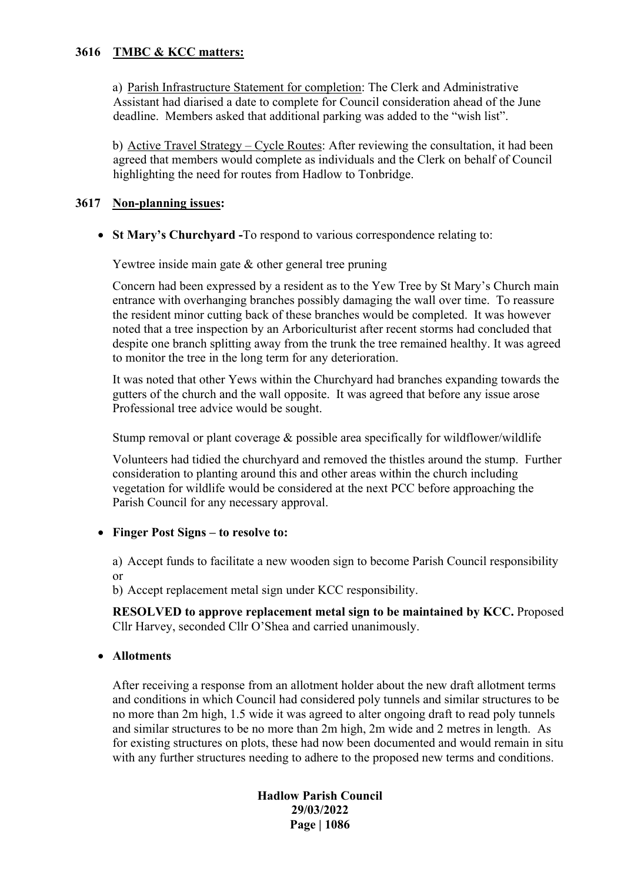#### **3616 TMBC & KCC matters:**

a) Parish Infrastructure Statement for completion: The Clerk and Administrative Assistant had diarised a date to complete for Council consideration ahead of the June deadline. Members asked that additional parking was added to the "wish list".

b) Active Travel Strategy – Cycle Routes: After reviewing the consultation, it had been agreed that members would complete as individuals and the Clerk on behalf of Council highlighting the need for routes from Hadlow to Tonbridge.

#### **3617 Non-planning issues:**

• **St Mary's Churchyard -**To respond to various correspondence relating to:

Yewtree inside main gate & other general tree pruning

Concern had been expressed by a resident as to the Yew Tree by St Mary's Church main entrance with overhanging branches possibly damaging the wall over time. To reassure the resident minor cutting back of these branches would be completed. It was however noted that a tree inspection by an Arboriculturist after recent storms had concluded that despite one branch splitting away from the trunk the tree remained healthy. It was agreed to monitor the tree in the long term for any deterioration.

It was noted that other Yews within the Churchyard had branches expanding towards the gutters of the church and the wall opposite. It was agreed that before any issue arose Professional tree advice would be sought.

Stump removal or plant coverage & possible area specifically for wildflower/wildlife

Volunteers had tidied the churchyard and removed the thistles around the stump. Further consideration to planting around this and other areas within the church including vegetation for wildlife would be considered at the next PCC before approaching the Parish Council for any necessary approval.

## • **Finger Post Signs – to resolve to:**

a) Accept funds to facilitate a new wooden sign to become Parish Council responsibility or

b) Accept replacement metal sign under KCC responsibility.

**RESOLVED to approve replacement metal sign to be maintained by KCC.** Proposed Cllr Harvey, seconded Cllr O'Shea and carried unanimously.

## • **Allotments**

After receiving a response from an allotment holder about the new draft allotment terms and conditions in which Council had considered poly tunnels and similar structures to be no more than 2m high, 1.5 wide it was agreed to alter ongoing draft to read poly tunnels and similar structures to be no more than 2m high, 2m wide and 2 metres in length. As for existing structures on plots, these had now been documented and would remain in situ with any further structures needing to adhere to the proposed new terms and conditions.

> **Hadlow Parish Council 29/03/2022 Page | 1086**